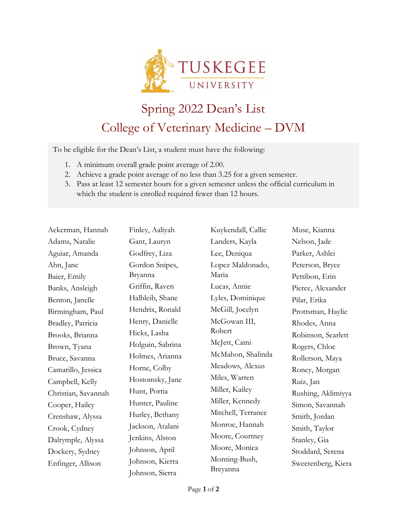

## Spring 2022 Dean's List College of Veterinary Medicine – DVM

To be eligible for the Dean's List, a student must have the following:

- 1. A minimum overall grade point average of 2.00.
- 2. Achieve a grade point average of no less than 3.25 for a given semester.
- 3. Pass at least 12 semester hours for a given semester unless the official curriculum in which the student is enrolled required fewer than 12 hours.

| Ackerman, Hannah    |
|---------------------|
| Adams, Natalie      |
| Aguiar, Amanda      |
| Ahn, Jane           |
| Baier, Emily        |
| Banks, Ansleigh     |
| Benton, Janelle     |
| Birmingham, Paul    |
| Bradley, Patricia   |
| Brooks, Brianna     |
| Brown, Tyana        |
| Bruce, Savanna      |
| Camarillo, Jessica  |
| Campbell, Kelly     |
| Christian, Savannah |
| Cooper, Hailey      |
| Crenshaw, Alyssa    |
| Crook, Cydney       |
| Dalrymple, Alyssa   |
| Dockery, Sydney     |
| Enfinger, Allison   |

Finley, Aaliyah Gant, Lauryn Godfrey, Liza Gordon Snipes, Bryanna Griffin, Raven Halbleib, Shane Hendrix, Ronald Henry, Danielle Hicks, Lasha Holguin, Sabrina Holmes, Arianna Horne, Colby Hostomsky, Jane Hunt, Portia Hunter, Pauline Hurley, Bethany Jackson, Atalani Jenkins, Alston Johnson, April Johnson, Kierra Johnson, Sierra

Kuykendall, Callie Landers, Kayla Lee, Deniqua Lopez Maldonado, Maria Lucas, Annie Lyles, Dominique McGill, Jocelyn McGowan III, Robert McJett, Cami McMahon, Shalinda Meadows, Alexus Miles, Warren Miller, Kailey Miller, Kennedy Mitchell, Terrance Monroe, Hannah Moore, Courtney Moore, Monica Morning-Bush, Breyanna

Muse, Kianna Nelson, Jade Parker, Ashlei Peterson, Bryce Pettibon, Erin Pierce, Alexander Pilar, Erika Prottsman, Haylie Rhodes, Anna Robinson, Scarlett Rogers, Chloe Rollerson, Maya Roney, Morgan Ruiz, Jan Rushing, Aklimiyya Simon, Savannah Smith, Jordan Smith, Taylor Stanley, Gia Stoddard, Serena Sweetenberg, Kiera